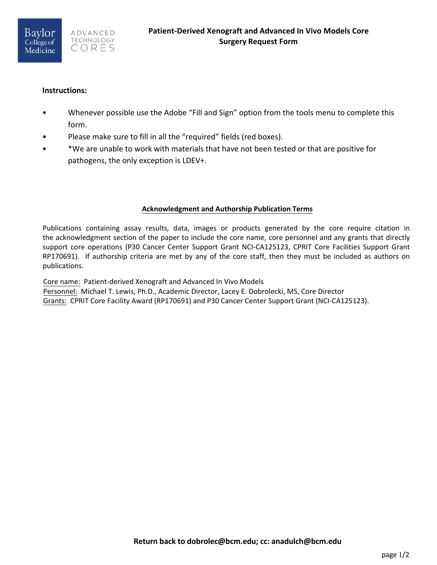## **Instructions:**

- Whenever possible use the Adobe "Fill and Sign" option from the tools menu to complete this form.
- Please make sure to fill in all the "required" fields (red boxes).
- \*We are unable to work with materials that have not been tested or that are positive for pathogens, the only exception is LDEV+.

## **Acknowledgment and Authorship Publication Terms**

Publications containing assay results, data, images or products generated by the core require citation in the acknowledgment section of the paper to include the core name, core personnel and any grants that directly support core operations (P30 Cancer Center Support Grant NCI-CA125123, CPRIT Core Facilities Support Grant RP170691). If authorship criteria are met by any of the core staff, then they must be included as authors on publications.

Core name: Patient-derived Xenograft and Advanced In Vivo Models Personnel: Michael T. Lewis, Ph.D., Academic Director, Lacey E. Dobrolecki, MS, Core Director

Grants: CPRIT Core Facility Award (RP170691) and P30 Cancer Center Support Grant (NCI-CA125123).